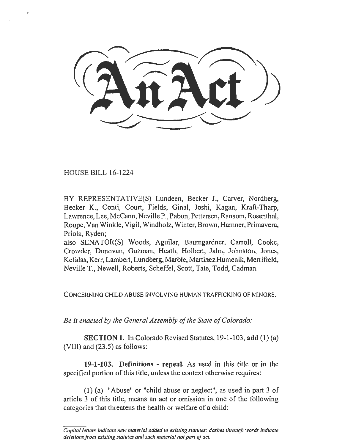HOUSE BILL 16-1224

BY REPRESENTATIVE(S) Lundeen, Becker J., Carver, Nordberg, Becker K., Conti, Court, Fields, Ginal, Joshi, Kagan, Kraft-Tharp, Lawrence, Lee, McCann, Neville P., Pabon, Pettersen, Ransom, Rosenthal, Roupe, Van Winkle, Vigil, Windholz, Winter, Brown, Hamner, Primavera, Priola, Ryden;

also SENATOR(S) Woods, Aguilar, Baumgardner, Carroll, Cooke, Crowder, Donovan, Guzman, Heath, Holbert, Jahn, Johnston, Jones, Kefalas, Kerr, Lambert, Lundberg, Marble, Martinez Humenik, Merrifield, Neville T., Newell, Roberts, Scheffel, Scott, Tate, Todd, Cadman.

CONCERNING CHILD ABUSE INVOLVING HUMAN TRAFFICKING OF MINORS.

*Be it enacted by the General Assembly of the State of Colorado:* 

SECTION 1. In Colorado Revised Statutes, 19-1-103, add (1) (a) (VIII) and  $(23.5)$  as follows:

19-1-103. Definitions - repeal. As used in this title or in the specified portion of this title, unless the context otherwise requires:

(1) (a) "Abuse" or "child abuse or neglect", as used in part 3 of article 3 of this title, means an act or omission in one of the following categories that threatens the health or welfare of a child:

*Capital letters indicate new material added to existing statutes; dashes through words indicate deletions from existing statutes and such material not part of act.*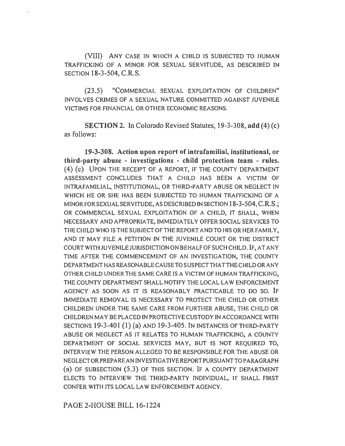(VIII) ANY CASE IN WHICH A CHILD IS SUBJECTED TO HUMAN TRAFFICKING OF A MINOR FOR SEXUAL SERVITUDE, AS DESCRIBED IN SECTION 18-3-504, C.R.S.

(23.5) "COMMERCIAL SEXUAL EXPLOITATION OF CHILDREN" INVOLVES CRIMES OF A SEXUAL NATURE COMMITTED AGAINST JUVENILE VICTIMS FOR FINANCIAL OR OTHER ECONOMIC REASONS.

SECTION 2. In Colorado Revised Statutes, 19-3-308, add (4) (c) as follows:

19-3-308. Action upon report of intrafamilial, institutional, or third-party abuse - investigations - child protection team - rules. (4) (c) UPON THE RECEIPT OF A REPORT, IF THE COUNTY DEPARTMENT ASSESSMENT CONCLUDES THAT A CHILD HAS BEEN A VICTIM OF INTRAFAMILIAL, INSTITUTIONAL, OR THIRD-PARTY ABUSE OR NEGLECT JN WHICH HE OR SHE HAS BEEN SUBJECTED TO HUMAN TRAFFICKING OF A MINOR FOR SEXUAL SERVITUDE, AS DESCRIBED IN SECTION 18-3-504, C.R.S.; OR COMMERCIAL SEXUAL EXPLOITATION OF A CHILD, IT SHALL, WHEN NECESSARY AND APPROPRIATE, IMMEDIATELY OFFER SOCIAL SERVICES TO THE CHILD WHO JS THE SUBJECT OF THE REPORT AND TO HIS OR HER FAMILY, AND IT MAY FILE A PETITION IN THE JUVENILE COURT OR THE DISTRICT COURT WITH JUVENILE JURISDICTION ON BEHALF OF SUCH CHILD. IF, AT ANY TIME AFTER THE COMMENCEMENT OF AN INVESTIGATION, THE COUNTY DEPARTMENTHASREASONABLECAUSETOSUSPECTTHATTHECHILDORANY OTHER CHILD UNDER THE SAME CARE IS A VICTIM OF HUMAN TRAFFICKING, THE COUNTY DEPARTMENT SHALL NOTIFY THE LOCAL LAW ENFORCEMENT AGENCY AS SOON AS IT IS REASONABLY PRACTICABLE TO DO SO. IF IMMEDIATE REMOVAL IS NECESSARY TO PROTECT THE CHILD OR OTHER CHILDREN UNDER THE SAME CARE FROM FURTHER ABUSE, THE CHILD OR CHILDREN MAY BE PLACED IN PROTECTIVE CUSTODY IN ACCORDANCE WITH SECTIONS 19-3-401 (1) (a) AND 19-3-405. IN INSTANCES OF THIRD-PARTY ABUSE OR NEGLECT AS IT RELATES TO HUMAN TRAFFICKING, A COUNTY DEPARTMENT OF SOCIAL SERVICES MAY, BUT IS NOT REQUIRED TO, INTERVIEW THE PERSON ALLEGED TO BE RESPONSIBLE FOR THE ABUSE OR NEGLECT OR PREPARE AN lNVESTIGA TIVE REPORT PURSUANT TO PARAGRAPH (a) OF SUBSECTION (5.3) OF THIS SECTION. IF A COUNTY DEPARTMENT ELECTS TO INTERVIEW THE THIRD-PARTY INDIVIDUAL, IT SHALL FIRST CONFER WITH ITS LOCAL LAW ENFORCEMENT AGENCY.

PAGE 2-HOUSE BILL 16-1224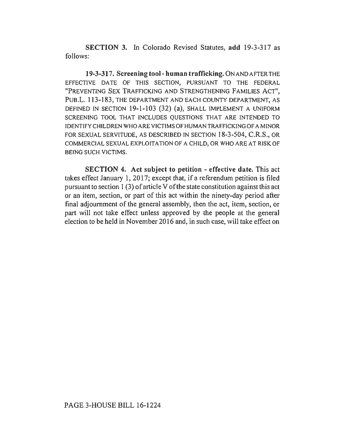SECTION 3. In Colorado Revised Statutes, add 19-3-317 as follows:

19-3-317. Screening tool- human trafficking. ON AND AFTER THE EFFECTIVE DATE OF THIS SECTION, PURSUANT TO THE FEDERAL "PREVENTING SEX TRAFFICKING AND STRENGTHENING FAMILIES ACT", PUB.L. 113-183, THE DEPARTMENT AND EACH COUNTY DEPARTMENT, AS DEFINED IN SECTION 19-1-103 (32) (a), SHALL IMPLEMENT A UNIFORM SCREENING TOOL THAT INCLUDES QUESTIONS THAT ARE INTENDED TO IDENTIFY CHILDREN WHO ARE VICTIMS OF HUMAN TRAFFICKING OF A MINOR FOR SEXUAL SERVITUDE, AS DESCRIBED IN SECTION 18-3-504, C.R.S., OR COMMERCIAL SEXUAL EXPLOITATION OF A CHILD, OR WHO ARE AT RISK OF BEING SUCH VICTIMS.

SECTION 4. Act subject to petition - effective date. This act takes effect January l, 2017; except that, if a referendum petition is filed pursuant to section 1 (3) of article V of the state constitution against this act or an item, section, or part of this act within the ninety-day period after final adjournment of the general assembly, then the act, item, section, or part will not take effect unless approved by the people at the general election to be held in November 2016 and, in such case, will take effect on